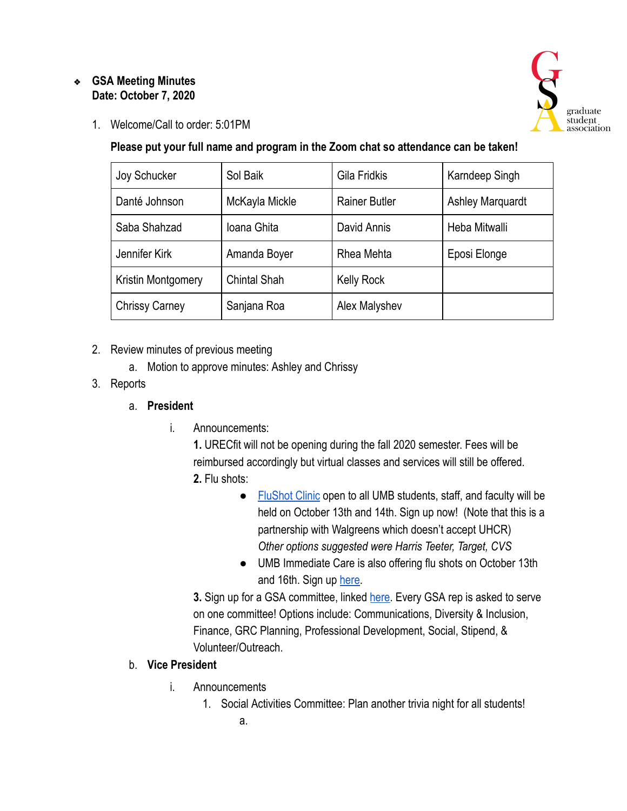#### ❖ **GSA Meeting Minutes Date: October 7, 2020**



1. Welcome/Call to order: 5:01PM

**Please put your full name and program in the Zoom chat so attendance can be taken!** 

| Joy Schucker          | Sol Baik            | Gila Fridkis         | Karndeep Singh          |
|-----------------------|---------------------|----------------------|-------------------------|
| Danté Johnson         | McKayla Mickle      | <b>Rainer Butler</b> | <b>Ashley Marquardt</b> |
| Saba Shahzad          | Ioana Ghita         | David Annis          | Heba Mitwalli           |
| Jennifer Kirk         | Amanda Boyer        | Rhea Mehta           | Eposi Elonge            |
| Kristin Montgomery    | <b>Chintal Shah</b> | <b>Kelly Rock</b>    |                         |
| <b>Chrissy Carney</b> | Sanjana Roa         | Alex Malyshev        |                         |

- 2. Review minutes of previous meeting
	- a. Motion to approve minutes: Ashley and Chrissy
- 3. Reports

#### a. **President**

i. Announcements:

**1.** URECfit will not be opening during the fall 2020 semester. Fees will be reimbursed accordingly but virtual classes and services will still be offered. **2.** Flu shots:

- [FluShot Clinic](https://elm.umaryland.edu/elm-stories/Elm-Stories-Content/Flu-Shot-Clinic-Sponsored-by-the-HSHSL-and-School-of-Pharmacy.php) open to all UMB students, staff, and faculty will be held on October 13th and 14th. Sign up now! (Note that this is a partnership with Walgreens which doesn't accept UHCR) *Other options suggested were Harris Teeter, Target, CVS*
- UMB Immediate Care is also offering flu shots on October 13th and 16th. Sign up [here .](https://www.medschool.umaryland.edu/flushot/)

**3.** Sign up for a GSA committee, linked here. Every GSA rep is asked to serve on one committee! Options include: Communications, Diversity & Inclusion, Finance, GRC Planning, Professional Development, Social, Stipend, & Volunteer/Outreach.

# b. **Vice President**

- i. Announcements
	- 1. Social Activities Committee: Plan another trivia night for all students!
		- a.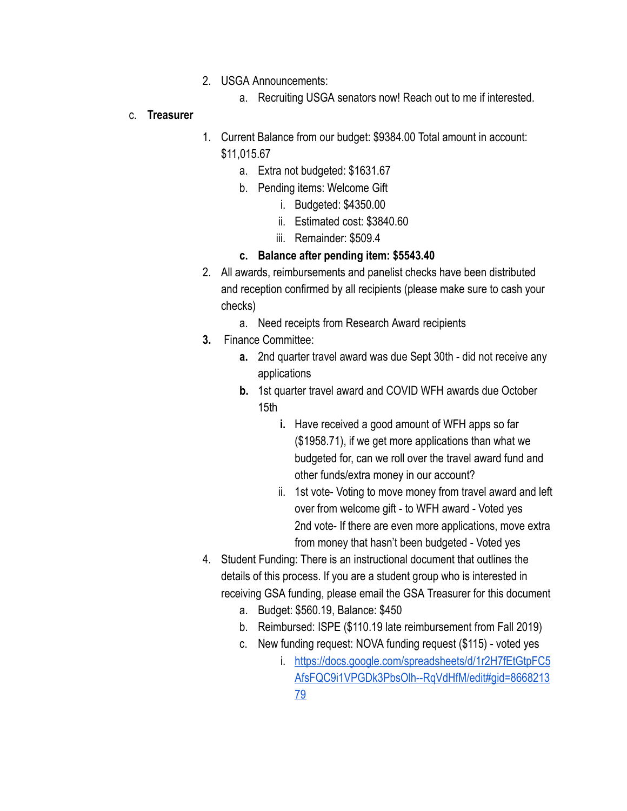- 2. USGA Announcements:
	- a. Recruiting USGA senators now! Reach out to me if interested.

#### c. **Treasurer**

- 1. Current Balance from our budget: \$9384.00 Total amount in account: \$11,015.67
	- a. Extra not budgeted: \$1631.67
	- b. Pending items: Welcome Gift
		- i. Budgeted: \$4350.00
		- ii. Estimated cost: \$3840.60
		- iii. Remainder: \$509.4

### **c. Balance after pending item: \$5543.40**

- 2. All awards, reimbursements and panelist checks have been distributed and reception confirmed by all recipients (please make sure to cash your checks)
	- a. Need receipts from Research Award recipients
- **3.** Finance Committee:
	- **a.** 2nd quarter travel award was due Sept 30th did not receive any applications
	- **b.** 1st quarter travel award and COVID WFH awards due October 15th
		- **i.** Have received a good amount of WFH apps so far (\$1958.71), if we get more applications than what we budgeted for, can we roll over the travel award fund and other funds/extra money in our account?
		- ii. 1st vote- Voting to move money from travel award and left over from welcome gift - to WFH award - Voted yes 2nd vote- If there are even more applications, move extra from money that hasn't been budgeted - Voted yes
- 4. Student Funding: There is an instructional document that outlines the details of this process. If you are a student group who is interested in receiving GSA funding, please email the GSA Treasurer for this document
	- a. Budget: \$560.19, Balance: \$450
	- b. Reimbursed: ISPE (\$110.19 late reimbursement from Fall 2019)
	- c. New funding request: NOVA funding request (\$115) voted yes
		- i. [https://docs.google.com/spreadsheets/d/1r2H7fEtGtpFC5](https://docs.google.com/spreadsheets/d/1r2H7fEtGtpFC5AfsFQC9i1VPGDk3PbsOlh--RqVdHfM/edit#gid=866821379)  [AfsFQC9i1VPGDk3PbsOlh--RqVdHfM/edit#gid=8668213](https://docs.google.com/spreadsheets/d/1r2H7fEtGtpFC5AfsFQC9i1VPGDk3PbsOlh--RqVdHfM/edit#gid=866821379)  [79](https://docs.google.com/spreadsheets/d/1r2H7fEtGtpFC5AfsFQC9i1VPGDk3PbsOlh--RqVdHfM/edit#gid=866821379)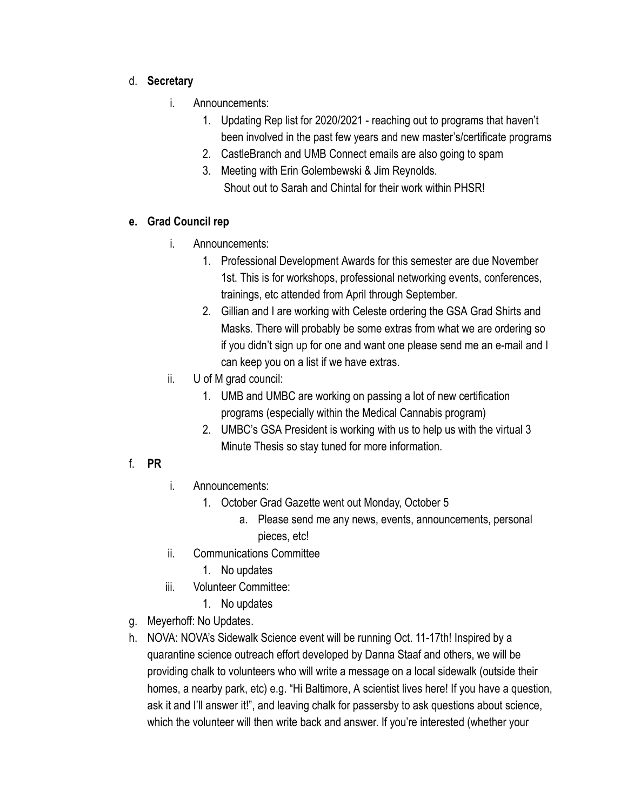### d. **Secretary**

- i. Announcements:
	- 1. Updating Rep list for 2020/2021 reaching out to programs that haven't been involved in the past few years and new master's/certificate programs
	- 2. CastleBranch and UMB Connect emails are also going to spam
	- 3. Meeting with Erin Golembewski & Jim Reynolds. Shout out to Sarah and Chintal for their work within PHSR!

# **e. Grad Council rep**

- i. Announcements:
	- 1. Professional Development Awards for this semester are due November 1st. This is for workshops, professional networking events, conferences, trainings, etc attended from April through September.
	- 2. Gillian and I are working with Celeste ordering the GSA Grad Shirts and Masks. There will probably be some extras from what we are ordering so if you didn't sign up for one and want one please send me an e-mail and I can keep you on a list if we have extras.
- ii. U of M grad council:
	- 1. UMB and UMBC are working on passing a lot of new certification programs (especially within the Medical Cannabis program)
	- 2. UMBC's GSA President is working with us to help us with the virtual 3 Minute Thesis so stay tuned for more information.

# f. **PR**

- i. Announcements:
	- 1. October Grad Gazette went out Monday, October 5
		- a. Please send me any news, events, announcements, personal pieces, etc!
- ii. Communications Committee
	- 1. No updates
- iii. Volunteer Committee:
	- 1. No updates
- g. Meyerhoff: No Updates.
- h. NOVA: NOVA's Sidewalk Science event will be running Oct. 11-17th! Inspired by a quarantine science outreach effort developed by Danna Staaf and others, we will be providing chalk to volunteers who will write a message on a local sidewalk (outside their homes, a nearby park, etc) e.g. "Hi Baltimore, A scientist lives here! If you have a question, ask it and I'll answer it!", and leaving chalk for passersby to ask questions about science, which the volunteer will then write back and answer. If you're interested (whether your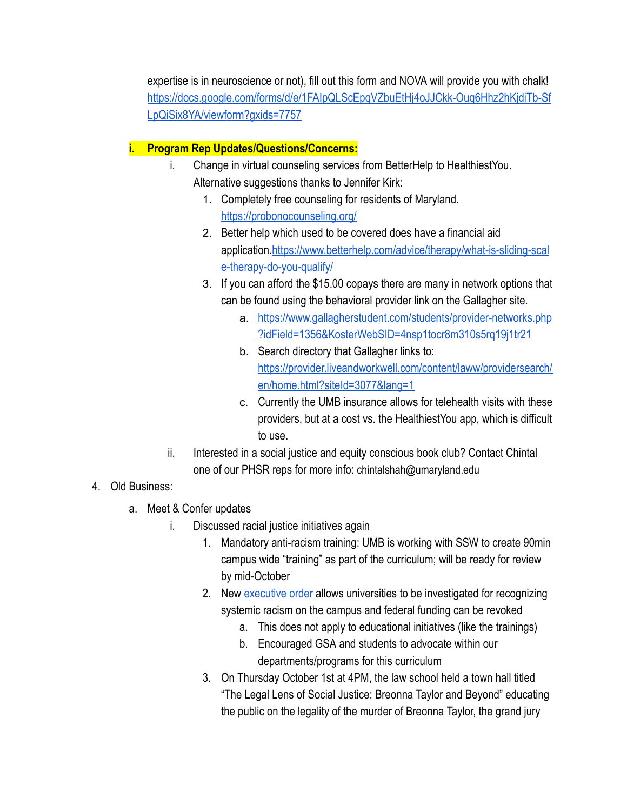expertise is in neuroscience or not), fill out this form and NOVA will provide you with chalk! [https://docs.google.com/forms/d/e/1FAIpQLScEpqVZbuEtHj4oJJCkk-Ouq6Hhz2hKjdiTb-Sf](https://docs.google.com/forms/d/e/1FAIpQLScEpqVZbuEtHj4oJJCkk-Ouq6Hhz2hKjdiTb-SfLpQiSix8YA/viewform?gxids=7757) [LpQiSix8YA/viewform?gxids=7757](https://docs.google.com/forms/d/e/1FAIpQLScEpqVZbuEtHj4oJJCkk-Ouq6Hhz2hKjdiTb-SfLpQiSix8YA/viewform?gxids=7757) 

### **i. Program Rep Updates/Questions/Concerns:**

- i. Change in virtual counseling services from BetterHelp to HealthiestYou. Alternative suggestions thanks to Jennifer Kirk:
	- 1. Completely free counseling for residents of Maryland. <https://probonocounseling.org/>
	- 2. Better help which used to be covered does have a financial aid application. [https://www.betterhelp.com/advice/therapy/what-is-sliding-scal](https://www.betterhelp.com/advice/therapy/what-is-sliding-scale-therapy-do-you-qualify/) [e-therapy-do-you-qualify/](https://www.betterhelp.com/advice/therapy/what-is-sliding-scale-therapy-do-you-qualify/)
	- 3. If you can afford the \$15.00 copays there are many in network options that can be found using the behavioral provider link on the Gallagher site.
		- a. [https://www.gallagherstudent.com/students/provider-networks.php](https://www.gallagherstudent.com/students/provider-networks.php?idField=1356&KosterWebSID=4nsp1tocr8m310s5rq19j1tr21) [?idField=1356&KosterWebSID=4nsp1tocr8m310s5rq19j1tr21](https://www.gallagherstudent.com/students/provider-networks.php?idField=1356&KosterWebSID=4nsp1tocr8m310s5rq19j1tr21)
		- b. Search directory that Gallagher links to[:](https://provider.liveandworkwell.com/content/laww/providersearch/en/home.html?siteId=3077&lang=1)  [https://provider.liveandworkwell.com/content/laww/providersearch/](https://provider.liveandworkwell.com/content/laww/providersearch/en/home.html?siteId=3077&lang=1)  [en/home.html?siteId=3077&lang=1](https://provider.liveandworkwell.com/content/laww/providersearch/en/home.html?siteId=3077&lang=1)
		- c. Currently the UMB insurance allows for telehealth visits with these providers, but at a cost vs. the HealthiestYou app, which is difficult to use.
- ii. Interested in a social justice and equity conscious book club? Contact Chintal one of our PHSR reps for more info: chintalshah@umaryland.edu
- 4. Old Business:
	- a. Meet & Confer updates
		- i. Discussed racial justice initiatives again
			- 1. Mandatory anti-racism training: UMB is working with SSW to create 90min campus wide "training" as part of the curriculum; will be ready for review by mid-October
			- 2. New [executive order](https://www.whitehouse.gov/presidential-actions/executive-order-combating-race-sex-stereotyping/) allows universities to be investigated for recognizing systemic racism on the campus and federal funding can be revoked
				- a. This does not apply to educational initiatives (like the trainings)
				- b. Encouraged GSA and students to advocate within our departments/programs for this curriculum
			- 3. On Thursday October 1st at 4PM, the law school held a town hall titled "The Legal Lens of Social Justice: Breonna Taylor and Beyond" educating the public on the legality of the murder of Breonna Taylor, the grand jury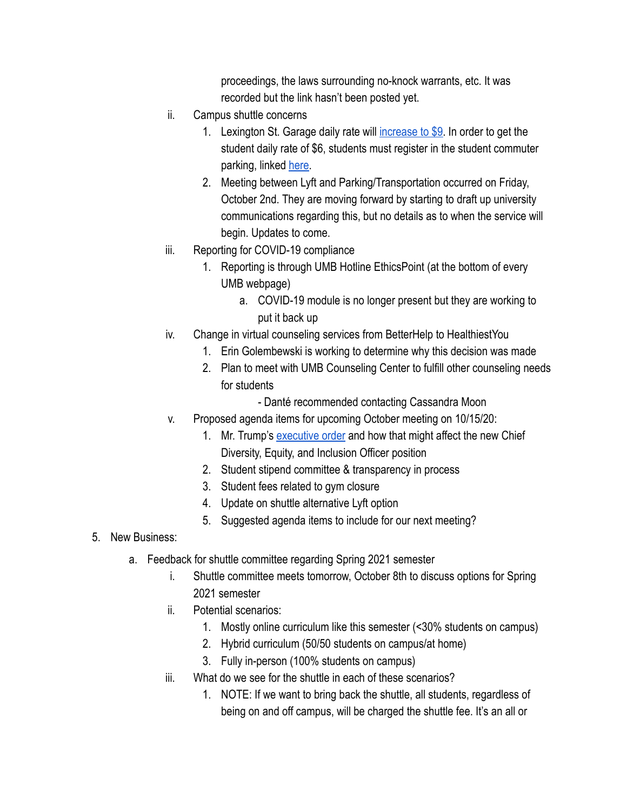proceedings, the laws surrounding no-knock warrants, etc. It was recorded but the link hasn't been posted yet.

- ii. Campus shuttle concerns
	- 1. Lexington St. Garage daily rate will [increase to \\$9 .](https://www.umaryland.edu/parking/parking-at-umb/student-parking/) In order to get the student daily rate of \$6, students must register in the student commuter parking, linked [here .](https://www.umaryland.edu/parking/parking-at-umb/student-parking/commuting-student/)
	- 2. Meeting between Lyft and Parking/Transportation occurred on Friday, October 2nd. They are moving forward by starting to draft up university communications regarding this, but no details as to when the service will begin. Updates to come.
- iii. Reporting for COVID-19 compliance
	- 1. Reporting is through UMB Hotline EthicsPoint (at the bottom of every UMB webpage)
		- a. COVID-19 module is no longer present but they are working to put it back up
- iv. Change in virtual counseling services from BetterHelp to HealthiestYou
	- 1. Erin Golembewski is working to determine why this decision was made
	- 2. Plan to meet with UMB Counseling Center to fulfill other counseling needs for students
		- Danté recommended contacting Cassandra Moon
- v. Proposed agenda items for upcoming October meeting on 10/15/20:
	- 1. Mr. Trump's [executive order](https://www.whitehouse.gov/presidential-actions/executive-order-combating-race-sex-stereotyping/) and how that might affect the new Chief Diversity, Equity, and Inclusion Officer position
	- 2. Student stipend committee & transparency in process
	- 3. Student fees related to gym closure
	- 4. Update on shuttle alternative Lyft option
	- 5. Suggested agenda items to include for our next meeting?
- 5. New Business:
	- a. Feedback for shuttle committee regarding Spring 2021 semester
		- i. Shuttle committee meets tomorrow, October 8th to discuss options for Spring 2021 semester
		- ii. Potential scenarios:
			- 1. Mostly online curriculum like this semester (<30% students on campus)
			- 2. Hybrid curriculum (50/50 students on campus/at home)
			- 3. Fully in-person (100% students on campus)
		- iii. What do we see for the shuttle in each of these scenarios?
			- 1. NOTE: If we want to bring back the shuttle, all students, regardless of being on and off campus, will be charged the shuttle fee. It's an all or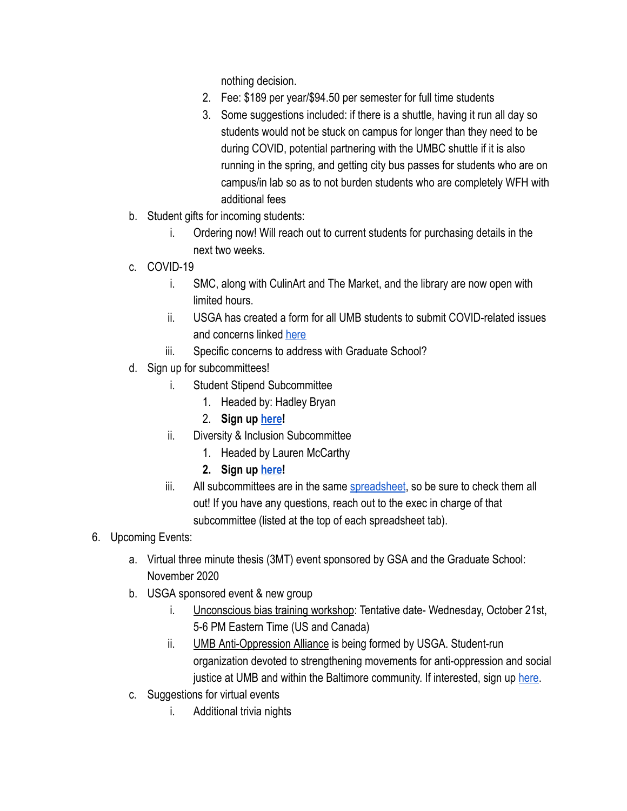nothing decision.

- 2. Fee: \$189 per year/\$94.50 per semester for full time students
- 3. Some suggestions included: if there is a shuttle, having it run all day so students would not be stuck on campus for longer than they need to be during COVID, potential partnering with the UMBC shuttle if it is also running in the spring, and getting city bus passes for students who are on campus/in lab so as to not burden students who are completely WFH with additional fees
- b. Student gifts for incoming students:
	- i. Ordering now! Will reach out to current students for purchasing details in the next two weeks.
- c. COVID-19
	- i. SMC, along with CulinArt and The Market, and the library are now open with limited hours.
	- ii. USGA has created a form for all UMB students to submit COVID-related issues and concerns linked [here](https://docs.google.com/forms/d/e/1FAIpQLSciurA-qW5I4xcXAmeC7VnjZVrak61KY6iJAnViir3AEJw1Qg/viewform?usp=sf_link)
	- iii. Specific concerns to address with Graduate School?
- d. Sign up for subcommittees!
	- i. Student Stipend Subcommittee
		- 1. Headed by: Hadley Bryan
		- 2. **Sign up [here](https://docs.google.com/spreadsheets/d/1xr3QjsIzToEIMlLTKzh61J_ApBAT5ZAzqzrTozF3aZk/edit#gid=29567734) !**
	- ii. Diversity & Inclusion Subcommittee
		- 1. Headed by Lauren McCarthy
		- **2. Sign up [here](https://docs.google.com/spreadsheets/d/1xr3QjsIzToEIMlLTKzh61J_ApBAT5ZAzqzrTozF3aZk/edit#gid=984291736) !**
	- iii. All subcommittees are in the same [spreadsheet](https://docs.google.com/spreadsheets/d/1xr3QjsIzToEIMlLTKzh61J_ApBAT5ZAzqzrTozF3aZk/edit?usp=sharing), so be sure to check them all out! If you have any questions, reach out to the exec in charge of that subcommittee (listed at the top of each spreadsheet tab).
- 6. Upcoming Events:
	- a. Virtual three minute thesis (3MT) event sponsored by GSA and the Graduate School: November 2020
	- b. USGA sponsored event & new group
		- i. Unconscious bias training workshop: Tentative date- Wednesday, October 21st, 5-6 PM Eastern Time (US and Canada)
		- ii. **UMB Anti-Oppression Alliance** is being formed by USGA. Student-run organization devoted to strengthening movements for anti-oppression and social justice at UMB and within the Baltimore community. If interested, sign up [here](https://docs.google.com/forms/d/e/1FAIpQLSd5oUgtSdtpFNZCo782_KaSGJrMXtMK3AWb654zAbc2xUi_1w/viewform?gxids=7757).
	- c. Suggestions for virtual events
		- i. Additional trivia nights